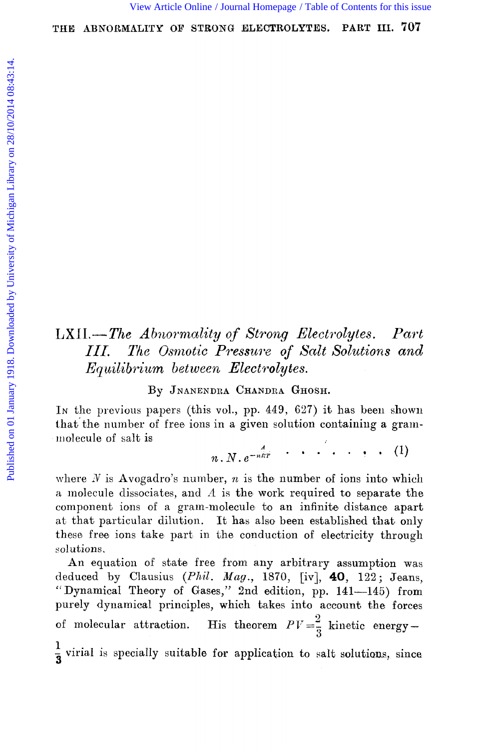### $LXII$ . The Abnormality of Strong Electrolytes.  $Part$ III. The Osmotic Pressure of Salt Solutions and Equilibrium between Electrolytes.

By JNANENDRA CHANDRA GHOSH.

In the previous papers (this vol., pp. 449, 627) it has been shown that the number of free ions in a given solution containing a grammolecule of salt is

where  $N$  is Avogadro's number,  $n$  is the number of ions into which a molecule dissociates, and  $A$  is the work required to separate the component ions of a gram-molecule to an infinite distance apart at that particular dilution. It has also been established that only these free ions take part in the conduction of electricity through solutions.

An equation of state free from any arbitrary assumption was deduced by Clausius (Phil. Mag., 1870, [iv], 40, 122; Jeans, "Dynamical Theory of Gases," 2nd edition, pp. 141-145) from purely dynamical principles, which takes into account the forces of molecular attraction. His theorem  $PV = \frac{2}{5}$  kinetic energy- $\frac{1}{3}$  virial is specially suitable for application to salt solutions, since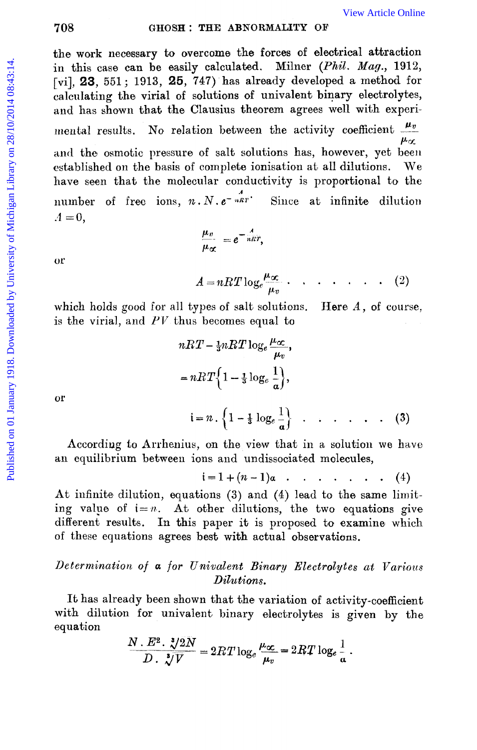the work necessary to overcome the forces of electrical attraction in this case can be easily calculated. Milner *(Phil. Mag.,* 1912, [vi], **23,** 551; **1913,** 25, **747)** has already developed a method for calculating the virial of solutions **of** univalent binary electrolytes, and has shown that the Clausius theorem agrees well with experimental results. No relation between the activity coefficient  $\frac{\mu_v}{\mu_v}$  $P\alpha$ and the osmotic pressure of salt solutions has, however, yet been established on the basis of complete ionisation at all dilutions. We have seen that the molecular conductivity is proportional to the number of free ions,  $n \cdot N \cdot e^{-\frac{A}{nRT}}$ . Since at infinite dilution  $A = 0$ , 708 CHOSE THE ABYONMALITY OF<br>
the work necessary to overcome the forces of electrical attraction<br>
in this case can be easily calculated. Milner (Phil. Mag., 1912,<br>
[vi], 28, 561; 1913, 26, 747) has already developed a met

$$
\frac{\mu_v}{\mu_\infty} = e^{-\frac{A}{nRT}}
$$

or

$$
A=nRT\log_e\frac{\mu_{\mathcal{C}}}{\mu_v}\cdot\cdot\cdot\cdot\cdot\cdot\cdot\cdot(2)
$$

which holds good for all types of salt solutions. is the virial, and PV thus becomes equal to Here *A,* of course,

$$
nRT - \frac{1}{3}nRT \log_e \frac{\mu_{\infty}}{\mu_v},
$$
  
= 
$$
nRT \Big\{ 1 - \frac{1}{3} \log_e \frac{1}{a} \Big\},
$$

$$
i = n \cdot \left\{1 - \frac{1}{3} \log_e \frac{1}{a}\right\} \quad \cdots \quad \cdots \quad \cdots \quad \cdots \quad (3)
$$

According to Arrhenius, on the view that in a solution we have **an** equilibrium between ions and undissociated molecules,

$$
i = 1 + (n-1)\alpha \cdots \cdots \cdots \cdots (4)
$$

At infinite dilution, equations **(3)** and **(4)** lead to the same limiting value of  $i=n$ . At other dilutions, the two equations give different results. In this paper it is proposed *to* examine which of these equations agrees best with actual observations.

*Determination of a for Univalent Binary Electrolytes at Various Dilutims.* 

It has already been shown that the variation of activity-coefficient with dilutioa for univalent' binary electrolytes is given **by** the equation

$$
\frac{N \cdot E^2 \cdot \sqrt[3]{2N}}{D \cdot \sqrt[3]{V}} = 2RT \log_e \frac{\mu_{\infty}}{\mu_v} = 2RT \log_e \frac{1}{a}.
$$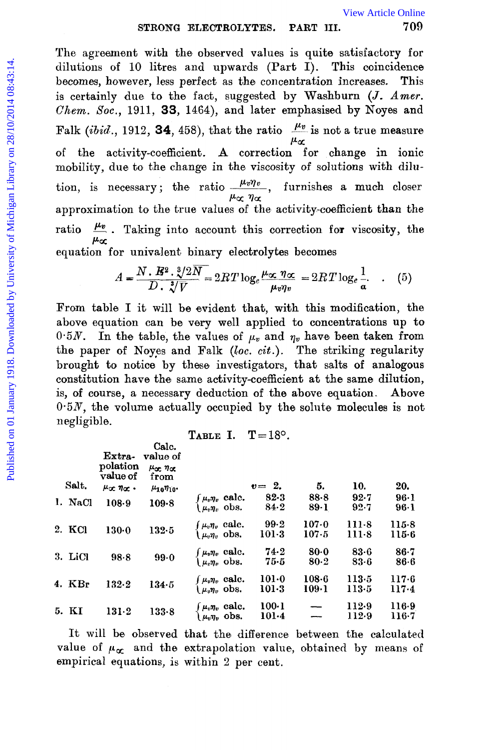The agreement with the observed values is quite satisfactory for dilutions of 10 litres and upwards (Part I). This coincidence becomes, however, less perfect as the concentration increases. This is certainly due to the fact, suggested by Washburn  $(J. Amer.$ Chem. Soc., 1911, 33, 1464), and later emphasised by Noyes and Falk (ibid., 1912, 34, 458), that the ratio  $\frac{\mu_v}{\mu_v}$  is not a true measure  $\mu_{\alpha}$ of the activity-coefficient. A correction for change in ionic mobility, due to the change in the viscosity of solutions with dilution, is necessary; the ratio  $\frac{\mu_v \eta_v}{\mu_v}$ , furnishes a much closer  $\mu_{\alpha}$   $\eta_{\alpha}$ approximation to the true values of the activity-coefficient than the  $\frac{\mu_v}{\sigma}$ . Taking into account this correction for viscosity, the ratio  $\mu_{\alpha}$ equation for univalent binary electrolytes becomes

$$
A = \frac{N \cdot B^2 \cdot \sqrt[3]{2N}}{D \cdot \sqrt[3]{V}} = 2RT \log_e \frac{\mu_{\alpha} \eta_{\alpha}}{\mu_{\nu} \eta_{\nu}} = 2RT \log_e \frac{1}{a}. \quad . \quad (5)
$$

From table I it will be evident that, with this modification, the above equation can be very well applied to concentrations up to 0.5N. In the table, the values of  $\mu_v$  and  $\eta_v$  have been taken from the paper of Noyes and Falk (loc. cit.). The striking regularity brought to notice by these investigators, that salts of analogous constitution have the same activity-coefficient at the same dilution, is, of course, a necessary deduction of the above equation. Above  $0.5N$ , the volume actually occupied by the solute molecules is not negligible.

> TABLE I.  $T = 18^{\circ}$ .

Calc.

|                   | Extra-<br>polation<br>value of   | value of<br>$\mu_{\infty}$ $\eta_{\infty}$<br>from |                                                                                     |                    |                        |                    |                    |
|-------------------|----------------------------------|----------------------------------------------------|-------------------------------------------------------------------------------------|--------------------|------------------------|--------------------|--------------------|
| Salt.             | $\mu_{\infty}$ $\eta_{\infty}$ . | $\mu_{10}\eta_{10}$ .                              |                                                                                     | $v = 2$ .          | 5.                     | 10.                | 20.                |
| <b>NaCl</b><br>1. | 108.9                            | $109 - 8$                                          | $\begin{cases} \mu_v \eta_v \text{ calc.} \\ \mu_v \eta_v \text{ obs.} \end{cases}$ | $82-3$<br>84.2     | $88 - 8$<br>$89 - 1$   | 92.7<br>92.7       | $96 - 1$<br>$96-1$ |
| 2. KCl            | $130 - 0$                        | 132.5                                              | $\mu_v \eta_v$ cale.<br>$\mu_v \eta_v$ obs.                                         | 99.2<br>$101-3$    | $107 - 0$<br>$107 - 5$ | 111.8<br>111.8     | 115.8<br>$115-6$   |
| 3. LiCl           | 98.8                             | 99.0                                               | $\int \mu_v \eta_v$ calc.<br>$\mu_v \eta_v$ obs.                                    | 74.2<br>75.5       | $80-0$<br>$80 - 2$     | $83 - 6$<br>$83-6$ | $86 - 7$<br>$86-6$ |
| 4. KBr            | 132.2                            | $134 - 5$                                          | $\int \mu_v \eta_v$ calc.<br>$\mu_v \eta_v$ obs.                                    | $101-0$<br>$101-3$ | $108-6$<br>109.1       | 113.5<br>113.5     | $117 - 6$<br>117.4 |
| 5. KI             | $131-2$                          | 133.8                                              | $\begin{cases} \mu_v \eta_v \text{ calc.} \\ \mu_v \eta_v \text{ obs.} \end{cases}$ | $100-1$<br>101.4   |                        | 112.9<br>112.9     | 116.9<br>$116 - 7$ |

It will be observed that the difference between the calculated value of  $\mu_{\alpha}$  and the extrapolation value, obtained by means of empirical equations, is within 2 per cent.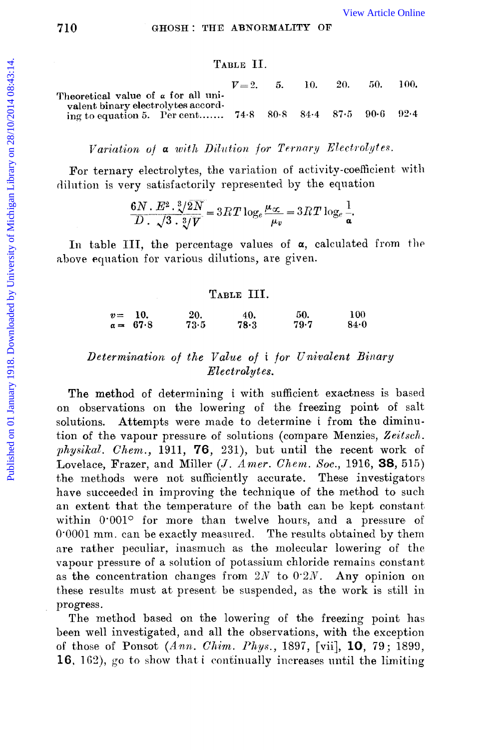#### TABLE II.

100.  $V = 2$ . 5. 10. 20. 50. Theoretical value of a for all univalent binary electrolytes accord- $92.4$ ing to equation 5. Per cent.......  $74.8$  $80.8$  $84.4$  $87.5$ 90.6

Variation of a with Dilution for Ternary Electrolytes.

For ternary electrolytes, the variation of activity-coefficient with dilution is very satisfactorily represented by the equation

$$
\frac{6N}{D}\cdot\frac{E^2\cdot\sqrt[3]{2N}}{\sqrt{3\cdot\sqrt[3]{V}}} = 3RT\log_e\frac{\mu_{\infty}}{\mu_v} = 3RT\log_e\frac{1}{\alpha}.
$$

In table III, the percentage values of  $\alpha$ , calculated from the above equation for various dilutions, are given.

#### TABLE III.

| $v = 10$ . | 20.  | 40.  | 50.  | 100  |
|------------|------|------|------|------|
| $a = 67.8$ | 73.5 | 78.3 | 79.7 | 84.0 |

## Determination of the Value of i for Univalent Binary Electrolytes.

The method of determining i with sufficient exactness is based on observations on the lowering of the freezing point of salt solutions. Attempts were made to determine i from the diminution of the vapour pressure of solutions (compare Menzies, Zeitsch.  $physikal.$  Chem., 1911, 76, 231), but until the recent work of Lovelace, Frazer, and Miller (J. Amer. Chem. Soc., 1916, 38, 515) the methods were not sufficiently accurate. These investigators have succeeded in improving the technique of the method to such an extent that the temperature of the bath can be kept constant within 0.001° for more than twelve hours, and a pressure of 0.0001 mm. can be exactly measured. The results obtained by them are rather peculiar, inasmuch as the molecular lowering of the vapour pressure of a solution of potassium chloride remains constant as the concentration changes from  $2N$  to  $0.2N$ . Any opinion on these results must at present be suspended, as the work is still in progress.

The method based on the lowering of the freezing point has been well investigated, and all the observations, with the exception of those of Ponsot  $(Ann. Chim. Phys., 1897, [vii], 10, 79; 1899, ...)$ 16, 162), go to show that i continually increases until the limiting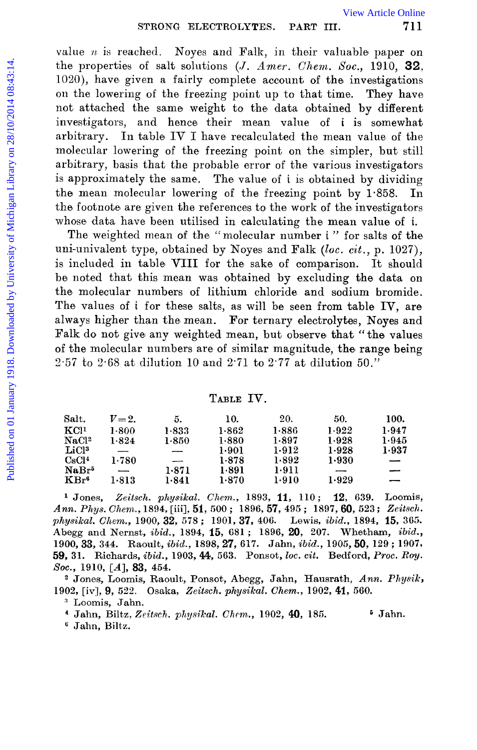value  $n$  is reached. Noyes and Falk, in their valuable paper on the properties of salt solutions  $(J. \ \text{A}mer. \ \text{C}hem. \ \text{Soc.}$ , 1910, 32,  $1020$ ), have given a fairly complete account of the investigations on the lowering of the freezing point up to that time. They have not attached the same weight to the data obtained by different investigators, and hence their mean value of **i** is somewhat arbitrary. In table IV I have recalculated the mean value of the molecular lowering of the freezing point on the simpler, but still arbitrary, basis that the probable error of the various investigators is approximately the same. The value of i is obtained by dividing the mean molecular lowering of the freezing point by  $1.858$ . In the footnote are given the references to the work of the investigators whose data have been utilised in calculating the mean value of i. STRONG ELECTROLIXTES. PART III. We Article Online (71<br>
The properties of salt solutions (*J. Amer. Chem. Soc.*, 1910, **32**,<br>
1920), have given a fairly complete account of the investigations<br>
on the lowering of the freezi

The weighted mean of the "molecular number i" for salts of the uni-univalent type, obtained by Noyes and Falk (loc. cit., p. 1027), is included in table VIII for the sake of comparison. It should be noted that this mean was obtained by excluding the data on the molecular numbers of lithium chloride and sodium bromide. The values of  $i$  for these salts, as will be seen from table IV, are always higher than the mean. For ternary electrolytes, Noyes and Falk do not give any weighted mean, but observe that "the values of the molecular numbers are of similar magnitude, the range being  $2.57$  to  $2.68$  at dilution 10 and  $2.71$  to  $2.77$  at dilution  $50.^{\prime\prime}$ 

#### **TABLE** IV.

| Salt.                      | $V=2.$                   | 5.    | 10.   | 20.   | 50.   | 100.  |
|----------------------------|--------------------------|-------|-------|-------|-------|-------|
| KCl <sup>1</sup>           | 1.800                    | 1.833 | 1.862 | 1.886 | 1.922 | 1.947 |
| NaCl <sup>2</sup>          | 1.824                    | 1.850 | 1.880 | 1.897 | 1.928 | 1.945 |
| LiCl <sup>3</sup>          |                          | ----  | 1.901 | 1.912 | 1.928 | 1.937 |
| CsCl <sup>4</sup>          | 1.780                    |       | 1.878 | 1.892 | 1.930 |       |
| NaBr <sup>5</sup>          | $\overline{\phantom{a}}$ | 1.871 | 1.891 | 1-911 |       | --    |
| $\mathbf{K} \mathbf{Br}^6$ | 1.813                    | 1-841 | 1.870 | 1.910 | 1.929 | -     |

**<sup>1</sup>**Jones, *Zeitsch. physilal. Chem.,* **1893, 11, 110; 12, 639.** Loomis, *Ann. Phys. Chena.,* **1894,** [iii], **51, 500** ; **1896, 57, 495** ; **1897,60, 523** ; *Zritscir. physifcal. Chem.,* **1900, 32, 578** ; **1901, 37, 406.** Lewis, *ibid.,* **1894, 15, 365.**  Abegg and Nernst, *ibid.,* **1894, 15, 681** ; **1896, 20, 207.** Whetham, *ibid.,*  **1900,33, 344.** Raoult, *ibid.,* **1898,2'7, 617. Jahn,** *ibid.,* **1906,50, 129** ; **1907, 59, 31.** Richards, *ibid.,* **1903, 44, 563.** Ponsot, *Eoc. cit.* Bedford, *Proc. Roy. Soc.,* **1910,** *[A],* **83, 454.** 

<sup>2</sup> Jones, Loomis, Raoult, Ponsot, Abegg, Jahn, Hausrath, *Ann. Physik*, **1902,** [iv], **9, 622.** Osaka, *Zeitsch. physikal. Chem.,* **1902, 41, 560.** 

Loomis, Jahn.

4 Jahn, Biltz, Zeitsch, physikal. Chem., 1902, 40, 185. Jahn.

Jahn, **Biltz.**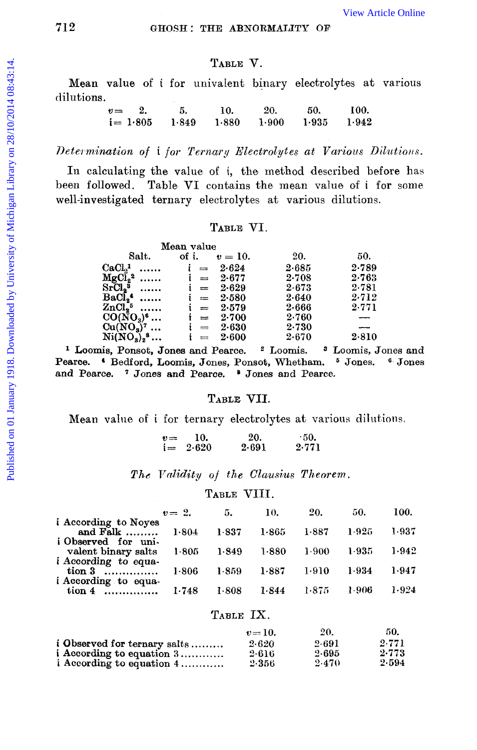## TABLE V.

Mean value of i for univalent binary electrolytes at various dilutions.

> $2.$ 5. 10. 20. 50. 100.  $\eta =$  $i = 1.805$  $1.849$  $1.880$  $1.900$  $1.935$  $1.942$

Determination of i for Ternary Electrolytes at Various Dilutions.

In calculating the value of i, the method described before has been followed. Table VI contains the mean value of i for some well-investigated ternary electrolytes at various dilutions.

#### TABLE VI.

|                                   | Mean value |           |           |           |
|-----------------------------------|------------|-----------|-----------|-----------|
| Salt.                             | of i.      | $v = 10.$ | 20.       | 50.       |
| $CaCl21$                          | i =        | 2.624     | $2 - 685$ | 2.789     |
| $MgClo2$                          | $i =$      | 2.677     | 2.708     | 2.763     |
| $SrCl23$                          | $=$        | 2.629     | 2.673     | $2 - 781$ |
| $BaCl24$                          | $=$        | 2.580     | 2.640     | 2.712     |
| $ZnCl25$                          | i =        | 2.579     | 2.666     | 2.771     |
| CO(NO <sub>3</sub> ) <sup>6</sup> | $=$        | 2.700     | 2.760     |           |
| Cu(NO <sub>s</sub> ) <sup>7</sup> | $\equiv$   | $2 - 630$ | 2.730     | ---       |
| $Ni(NO3)28$                       | $\equiv$   | 2.600     | 2.670     | 2.810     |

<sup>1</sup> Loomis, Ponsot, Jones and Pearce. <sup>2</sup> Loomis. <sup>3</sup> Loomis, Jones and Pearce. 4 Bedford, Loomis, Jones, Ponsot, Whetham. 5 Jones.  $6.$  Jones and Pearce. 7 Jones and Pearce. 8 Jones and Pearce.

#### TABLE VII.

Mean value of i for ternary electrolytes at various dilutions.

10. 20.  $.50.$  $v =$  $2.620$  $2.691$  $2.771$  $i =$ 

The Validity of the Clausius Theorem.

#### TABLE VIII.

|                                                                                       | $v = 2$ . | 5.    | 10.   | 20.   | 50.   | 100.  |
|---------------------------------------------------------------------------------------|-----------|-------|-------|-------|-------|-------|
| <i>i</i> According to Noyes<br>and Falk                                               | 1.804     | 1.837 | 1.865 | 1.887 | 1.925 | 1.937 |
| i Observed for uni-<br>valent binary salts                                            | 1.805     | 1.849 | 1.880 | 1.900 | 1.935 | 1.942 |
| <i>i</i> According to equa-                                                           |           |       |       | 1.910 | 1.934 | 1.947 |
| $\; \text{tion 3} \; \dots \; \dots \; \dots \; \dots$<br><i>i</i> According to equa- | 1.806     | 1.859 | 1.887 |       |       |       |
| $\text{tion } 4 \dots \dots \dots \dots$                                              | 1.748     | 1.808 | 1.844 | 1.875 | 1.906 | 1.924 |

## TABLE IX.

|                                     | $v = 10.$ | 20.   | 50.   |
|-------------------------------------|-----------|-------|-------|
| <i>i</i> Observed for ternary salts | 2.620     | 2.691 | 2.771 |
| <i>i</i> According to equation 3    | 2.616     | 2.695 | 2.773 |
| $i$ According to equation $4$       | 2.356     | 2.470 | 2.594 |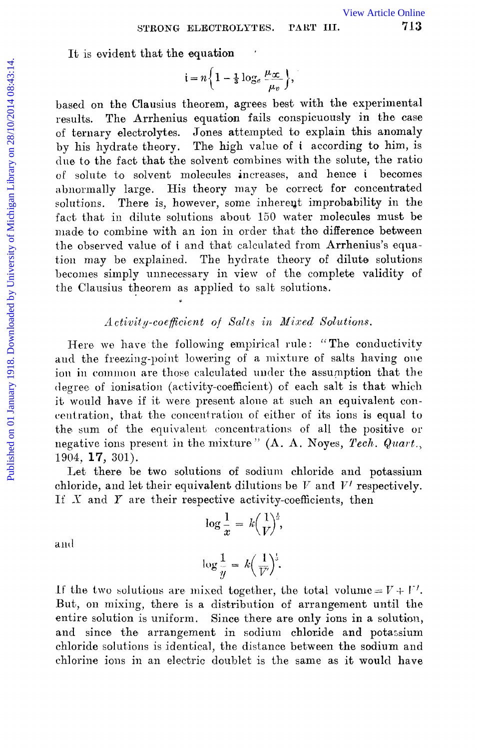It is evident that the equation

$$
i = n \left\{ 1 - \frac{1}{3} \log_e \frac{\mu_{\infty}}{\mu_v} \right\},\
$$

based on the Clausius theorem, agrees best with the experimental results. The Arrhenius equation fails conspicuously in the case of ternary electrolytes. Jones attempted to explain this anomaly by his hydrate theory. The high value of *i* according to him, is due to the fact that the solvent combines with the solute, the ratio of solute to solvent molecules increases, and hence i becomes abnormally large. His theory may be correct for concentrated There is, however, some inherent improbability in the solutions. fact that in dilute solutions about 150 water molecules must be made to combine with an ion in order that the difference between the observed value of i and that calculated from Arrhenius's equation may be explained. The hydrate theory of dilute solutions becomes simply unnecessary in view of the complete validity of the Clausius theorem as applied to salt solutions.

# Activity-coefficient of Salts in Mixed Solutions.

Here we have the following empirical rule: "The conductivity and the freezing-point lowering of a mixture of salts having one ion in common are those calculated under the assumption that the degree of ionisation (activity-coefficient) of each salt is that which it would have if it were present alone at such an equivalent concentration, that the concentration of either of its ions is equal to the sum of the equivalent concentrations of all the positive or negative ions present in the mixture" (A. A. Noyes, Tech. Quart., 1904, 17, 301).

Let there be two solutions of sodium chloride and potassium chloride, and let their equivalent dilutions be  $V$  and  $V'$  respectively. If  $X$  and  $Y$  are their respective activity-coefficients, then

$$
\log \frac{1}{x} = k \left( \frac{1}{V} \right)^{\frac{1}{3}},
$$

and

$$
\log \frac{1}{y} = k \left( \frac{1}{V'} \right)^{\frac{1}{3}}.
$$

If the two solutions are mixed together, the total volume =  $V + V'$ . But, on mixing, there is a distribution of arrangement until the entire solution is uniform. Since there are only ions in a solution, and since the arrangement in sodium chloride and potassium chloride solutions is identical, the distance between the sodium and chlorine ions in an electric doublet is the same as it would have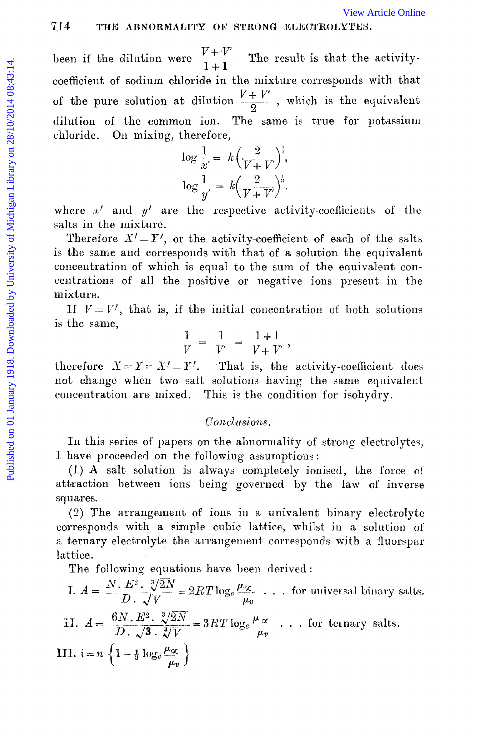#### 714 THE ABNORMALITY OF STRONG ELECTROLYTES.

been if the dilution were  $\frac{V+V'}{1+1}$ The result is that the activitycoefficient of sodium chloride in the mixture corresponds with that of the pure solution at dilution  $\frac{V+V'}{2}$ , which is the equivalent dilution of the common ion. The same is true for potassium chloride. On mixing, therefore,

$$
\log \frac{1}{x'} = k \left( \frac{2}{V+V'} \right)^{\frac{1}{2}},
$$
  

$$
\log \frac{1}{y'} = k \left( \frac{2}{V+V'} \right)^{\frac{1}{2}}.
$$

where  $x'$  and  $y'$  are the respective activity-coefficients of the salts in the mixture.

Therefore  $X' = Y'$ , or the activity-coefficient of each of the salts is the same and corresponds with that of a solution the equivalent concentration of which is equal to the sum of the equivalent concentrations of all the positive or negative ions present in the mixture.

If  $V = V'$ , that is, if the initial concentration of both solutions is the same,

$$
\frac{1}{V} = \frac{1}{V'} = \frac{1+1}{V+V'}.
$$

therefore  $X = Y = X' = Y'$ . That is, the activity-coefficient does not change when two salt solutions having the same equivalent This is the condition for isohydry. concentration are mixed.

#### $Conclusions.$

In this series of papers on the abnormality of strong electrolytes, I have proceeded on the following assumptions:

(1) A salt solution is always completely ionised, the force of attraction between ions being governed by the law of inverse squares.

(2) The arrangement of ions in a univalent binary electrolyte corresponds with a simple cubic lattice, whilst in a solution of a ternary electrolyte the arrangement corresponds with a fluorspar lattice.

The following equations have been derived:

I.  $A = \frac{N.E^2}{D} \cdot \frac{\sqrt[3]{2N}}{\sqrt{V}} = 2RT \log_e \frac{\mu_{\infty}}{\mu_v}$ ... for universal binary salts. II.  $A = \frac{6N \cdot E^2 \cdot \sqrt[3]{2N}}{D \cdot \sqrt{3} \cdot \sqrt[3]{V}} = 3RT \log_e \frac{\mu_{\alpha}}{\mu_v} \dots$  for ternary salts. III.  $i = n \left\{1 - \frac{1}{3} \log_e \frac{\mu_\alpha}{\mu_n} \right\}$